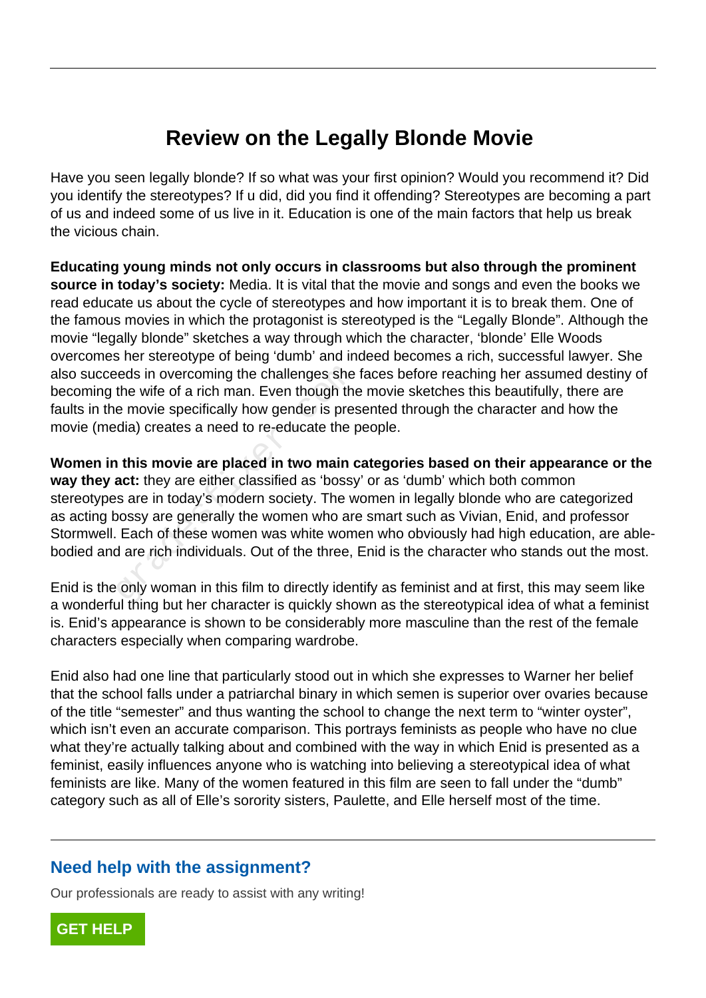## **Review on the Legally Blonde Movie**

Have you seen legally blonde? If so what was your first opinion? Would you recommend it? Did you identify the stereotypes? If u did, did you find it offending? Stereotypes are becoming a part of us and indeed some of us live in it. Education is one of the main factors that help us break the vicious chain.

**Educating young minds not only occurs in classrooms but also through the prominent source in today's society:** Media. It is vital that the movie and songs and even the books we read educate us about the cycle of stereotypes and how important it is to break them. One of the famous movies in which the protagonist is stereotyped is the "Legally Blonde". Although the movie "legally blonde" sketches a way through which the character, 'blonde' Elle Woods overcomes her stereotype of being 'dumb' and indeed becomes a rich, successful lawyer. She also succeeds in overcoming the challenges she faces before reaching her assumed destiny of becoming the wife of a rich man. Even though the movie sketches this beautifully, there are faults in the movie specifically how gender is presented through the character and how the movie (media) creates a need to re-educate the people.

**Women in this movie are placed in two main categories based on their appearance or the way they act:** they are either classified as 'bossy' or as 'dumb' which both common stereotypes are in today's modern society. The women in legally blonde who are categorized as acting bossy are generally the women who are smart such as Vivian, Enid, and professor Stormwell. Each of these women was white women who obviously had high education, are ablebodied and are rich individuals. Out of the three, Enid is the character who stands out the most. reds in overcoming the challenges she<br>the wife of a rich man. Even though the<br>e movie specifically how gender is pres<br>dia) creates a need to re-educate the p<br>**i** this movie are placed in two main c<br>act: they are either cla

Enid is the only woman in this film to directly identify as feminist and at first, this may seem like a wonderful thing but her character is quickly shown as the stereotypical idea of what a feminist is. Enid's appearance is shown to be considerably more masculine than the rest of the female characters especially when comparing wardrobe.

Enid also had one line that particularly stood out in which she expresses to Warner her belief that the school falls under a patriarchal binary in which semen is superior over ovaries because of the title "semester" and thus wanting the school to change the next term to "winter oyster", which isn't even an accurate comparison. This portrays feminists as people who have no clue what they're actually talking about and combined with the way in which Enid is presented as a feminist, easily influences anyone who is watching into believing a stereotypical idea of what feminists are like. Many of the women featured in this film are seen to fall under the "dumb" category such as all of Elle's sorority sisters, Paulette, and Elle herself most of the time.

## **Need help with the assignment?**

Our professionals are ready to assist with any writing!